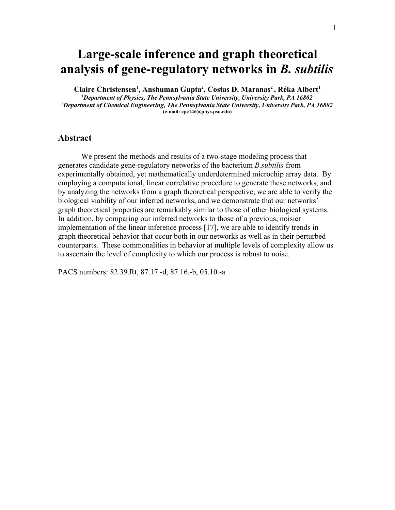# **Large-scale inference and graph theoretical analysis of gene-regulatory networks in** *B. subtilis*

**Claire Christensen 1 , Anshuman Gupta<sup>2</sup> , Costas D. Maranas<sup>2</sup> , Réka Albert 1**

*<sup>1</sup>Department of Physics, The Pennsylvania State University, University Park, PA 16802 <sup>2</sup>Department of Chemical Engineering, The Pennsylvania State University, University Park, PA 16802* **(e-mail: cpc146@phys.psu.edu)**

# **Abstract**

We present the methods and results of a two-stage modeling process that generates candidate gene-regulatory networks of the bacterium *B.subtilis* from experimentally obtained, yet mathematically underdetermined microchip array data. By employing a computational, linear correlative procedure to generate these networks, and by analyzing the networks from a graph theoretical perspective, we are able to verify the biological viability of our inferred networks, and we demonstrate that our networks' graph theoretical properties are remarkably similar to those of other biological systems. In addition, by comparing our inferred networks to those of a previous, noisier implementation of the linear inference process [17], we are able to identify trends in graph theoretical behavior that occur both in our networks as well as in their perturbed counterparts. These commonalities in behavior at multiple levels of complexity allow us to ascertain the level of complexity to which our process is robust to noise.

PACS numbers: 82.39.Rt, 87.17.-d, 87.16.-b, 05.10.-a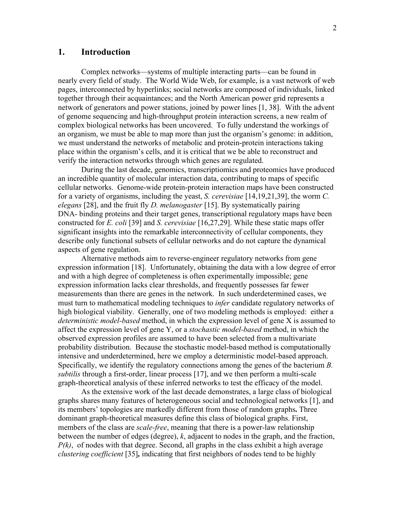# **1. Introduction**

Complex networks—systems of multiple interacting parts—can be found in nearly every field of study. The World Wide Web, for example, is a vast network of web pages, interconnected by hyperlinks; social networks are composed of individuals, linked together through their acquaintances; and the North American power grid represents a network of generators and power stations, joined by power lines [1, 38]. With the advent of genome sequencing and high-throughput protein interaction screens, a new realm of complex biological networks has been uncovered. To fully understand the workings of an organism, we must be able to map more than just the organism's genome: in addition, we must understand the networks of metabolic and protein-protein interactions taking place within the organism's cells, and it is critical that we be able to reconstruct and verify the interaction networks through which genes are regulated.

During the last decade, genomics, transcriptiomics and proteomics have produced an incredible quantity of molecular interaction data, contributing to maps of specific cellular networks. Genome-wide protein-protein interaction maps have been constructed for a variety of organisms, including the yeast, *S. cerevisiae* [14,19,21,39], the worm *C. elegans* [28], and the fruit fly *D. melanogaster* [15]. By systematically pairing DNA- binding proteins and their target genes, transcriptional regulatory maps have been constructed for *E. coli* [39] and *S. cerevisiae* [16,27,29]. While these static maps offer significant insights into the remarkable interconnectivity of cellular components, they describe only functional subsets of cellular networks and do not capture the dynamical aspects of gene regulation.

Alternative methods aim to reverse-engineer regulatory networks from gene expression information [18]. Unfortunately, obtaining the data with a low degree of error and with a high degree of completeness is often experimentally impossible; gene expression information lacks clear thresholds, and frequently possesses far fewer measurements than there are genes in the network. In such underdetermined cases, we must turn to mathematical modeling techniques to *infer* candidate regulatory networks of high biological viability. Generally, one of two modeling methods is employed: either a *deterministic model-based* method, in which the expression level of gene X is assumed to affect the expression level of gene Y, or a *stochastic model-based* method, in which the observed expression profiles are assumed to have been selected from a multivariate probability distribution. Because the stochastic model-based method is computationally intensive and underdetermined, here we employ a deterministic model-based approach. Specifically, we identify the regulatory connections among the genes of the bacterium *B. subtilis* through a first-order, linear process [17], and we then perform a multi-scale graph-theoretical analysis of these inferred networks to test the efficacy of the model.

As the extensive work of the last decade demonstrates, a large class of biological graphs shares many features of heterogeneous social and technological networks [1], and its members' topologies are markedly different from those of random graphs**.** Three dominant graph-theoretical measures define this class of biological graphs. First, members of the class are *scale-free*, meaning that there is a power-law relationship between the number of edges (degree), *k*, adjacent to nodes in the graph, and the fraction, *P(k)*, of nodes with that degree. Second, all graphs in the class exhibit a high average *clustering coefficient* [35]*,* indicating that first neighbors of nodes tend to be highly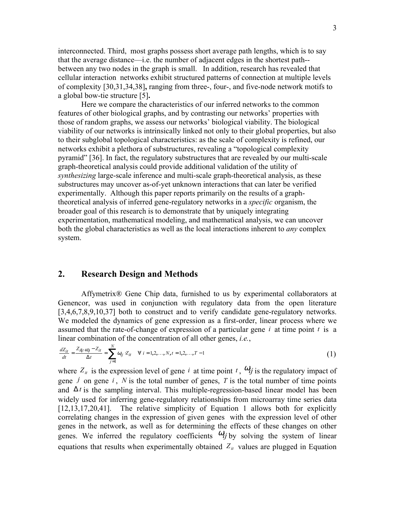interconnected. Third, most graphs possess short average path lengths, which is to say that the average distance—i.e. the number of adjacent edges in the shortest path- between any two nodes in the graph is small. In addition, research has revealed that cellular interaction networks exhibit structured patterns of connection at multiple levels of complexity [30,31,34,38]**,** ranging from three-, four-, and five-node network motifs to a global bow-tie structure [5]**.**

Here we compare the characteristics of our inferred networks to the common features of other biological graphs, and by contrasting our networks' properties with those of random graphs, we assess our networks' biological viability. The biological viability of our networks is intrinsically linked not only to their global properties, but also to their subglobal topological characteristics: as the scale of complexity is refined, our networks exhibit a plethora of substructures, revealing a "topological complexity pyramid" [36]. In fact, the regulatory substructures that are revealed by our multi-scale graph-theoretical analysis could provide additional validation of the utility of *synthesizing* large-scale inference and multi-scale graph-theoretical analysis, as these substructures may uncover as-of-yet unknown interactions that can later be verified experimentally. Although this paper reports primarily on the results of a graphtheoretical analysis of inferred gene-regulatory networks in a *specific* organism, the broader goal of this research is to demonstrate that by uniquely integrating experimentation, mathematical modeling, and mathematical analysis, we can uncover both the global characteristics as well as the local interactions inherent to *any* complex system.

## **2. Research Design and Methods**

Affymetrix® Gene Chip data, furnished to us by experimental collaborators at Genencor, was used in conjunction with regulatory data from the open literature [3,4,6,7,8,9,10,37] both to construct and to verify candidate gene-regulatory networks. We modeled the dynamics of gene expression as a first-order, linear process where we assumed that the rate-of-change of expression of a particular gene  $i$  at time point  $t$  is a linear combination of the concentration of all other genes, *i.e.*,

$$
\frac{dZ_{it}}{dt} = \frac{Z_{i(t+1)} - Z_{it}}{\Delta t} = \sum_{j=1}^{N} \omega_{ij} \cdot Z_{it} \quad \forall \ i = 1, 2, ..., N, t = 1, 2, ..., T-1
$$
 (1)

where  $Z_{it}$  is the expression level of gene *i* at time point *t*,  $\omega_{ij}$  is the regulatory impact of gene  $j$  on gene  $i$ ,  $N$  is the total number of genes,  $T$  is the total number of time points and  $\Delta t$  is the sampling interval. This multiple-regression-based linear model has been widely used for inferring gene-regulatory relationships from microarray time series data [12,13,17,20,41]. The relative simplicity of Equation 1 allows both for explicitly correlating changes in the expression of given genes with the expression level of other genes in the network, as well as for determining the effects of these changes on other genes. We inferred the regulatory coefficients  $\omega_{ij}$  by solving the system of linear equations that results when experimentally obtained  $Z_i$  values are plugged in Equation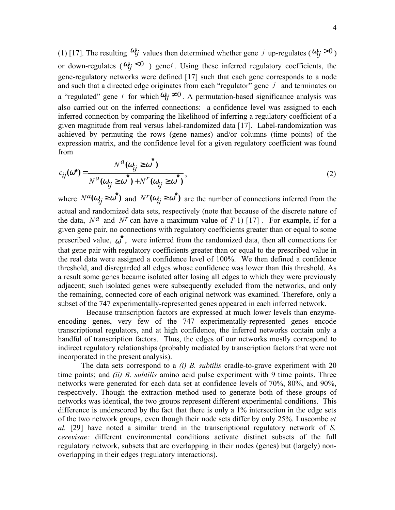(1) [17]. The resulting  $\omega_{ij}$  values then determined whether gene *j* up-regulates ( $\omega_{ij} > 0$ ) or down-regulates  $(\omega_{ij} < 0)$  gene *i*. Using these inferred regulatory coefficients, the gene-regulatory networks were defined [17] such that each gene corresponds to a node and such that a directed edge originates from each "regulator" gene  $j$  and terminates on a "regulated" gene *i* for which  $\omega_{ij} \neq 0$ . A permutation-based significance analysis was also carried out on the inferred connections: a confidence level was assigned to each inferred connection by comparing the likelihood of inferring a regulatory coefficient of a given magnitude from real versus label-randomized data [17]. Label-randomization was achieved by permuting the rows (gene names) and/or columns (time points) of the expression matrix, and the confidence level for a given regulatory coefficient was found from

$$
c_{ij}(\omega^*) = \frac{N^d(\omega_{ij} \ge \omega^*)}{N^d(\omega_{ij} \ge \omega^*) + N^r(\omega_{ij} \ge \omega^*)},
$$
\n(2)

where  $N^a(\omega_{ij} \ge \omega^*)$  and  $N^r(\omega_{ij} \ge \omega^*)$  are the number of connections inferred from the actual and randomized data sets, respectively (note that because of the discrete nature of the data,  $N^a$  and  $N^r$  can have a maximum value of  $T-1$ ) [17]. For example, if for a given gene pair, no connections with regulatory coefficients greater than or equal to some prescribed value,  $\omega^*$ , were inferred from the randomized data, then all connections for that gene pair with regulatory coefficients greater than or equal to the prescribed value in the real data were assigned a confidence level of 100%. We then defined a confidence threshold, and disregarded all edges whose confidence was lower than this threshold. As a result some genes became isolated after losing all edges to which they were previously adjacent; such isolated genes were subsequently excluded from the networks, and only the remaining, connected core of each original network was examined. Therefore, only a subset of the 747 experimentally-represented genes appeared in each inferred network.

Because transcription factors are expressed at much lower levels than enzymeencoding genes, very few of the 747 experimentally-represented genes encode transcriptional regulators, and at high confidence, the inferred networks contain only a handful of transcription factors. Thus, the edges of our networks mostly correspond to indirect regulatory relationships (probably mediated by transcription factors that were not incorporated in the present analysis).

The data sets correspond to a *(i) B. subtilis* cradle-to-grave experiment with 20 time points; and *(ii) B. subtilis* amino acid pulse experiment with 9 time points. Three networks were generated for each data set at confidence levels of 70%, 80%, and 90%, respectively. Though the extraction method used to generate both of these groups of networks was identical, the two groups represent different experimental conditions. This difference is underscored by the fact that there is only a 1% intersection in the edge sets of the two network groups, even though their node sets differ by only 25%. Luscombe *et al.* [29] have noted a similar trend in the transcriptional regulatory network of *S. cerevisae:* different environmental conditions activate distinct subsets of the full regulatory network, subsets that are overlapping in their nodes (genes) but (largely) nonoverlapping in their edges (regulatory interactions).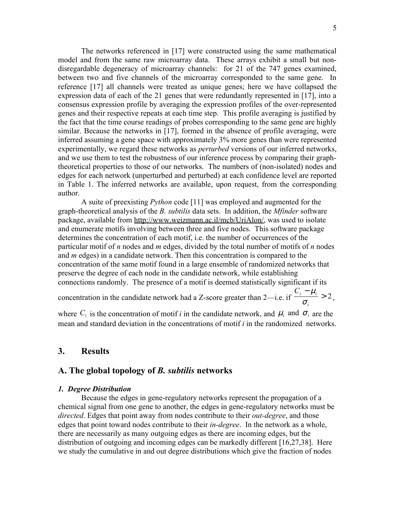The networks referenced in [17] were constructed using the same mathematical model and from the same raw microarray data. These arrays exhibit a small but nondisregardable degeneracy of microarray channels: for 21 of the 747 genes examined, between two and five channels of the microarray corresponded to the same gene. In reference [17] all channels were treated as unique genes; here we have collapsed the expression data of each of the 21 genes that were redundantly represented in [17], into a consensus expression profile by averaging the expression profiles of the over-represented genes and their respective repeats at each time step. This profile averaging is justified by the fact that the time course readings of probes corresponding to the same gene are highly similar. Because the networks in [17], formed in the absence of profile averaging, were inferred assuming a gene space with approximately 3% more genes than were represented experimentally, we regard these networks as *perturbed* versions of our inferred networks, and we use them to test the robustness of our inference process by comparing their graphtheoretical properties to those of our networks. The numbers of (non-isolated) nodes and edges for each network (unperturbed and perturbed) at each confidence level are reported in Table 1. The inferred networks are available, upon request, from the corresponding author.

A suite of preexisting *Python* code [11] was employed and augmented for the graph-theoretical analysis of the *B. subtilis* data sets. In addition, the *Mfinder* software package, available from http://www.weizmann.ac.il/mcb/UriAlon/, was used to isolate and enumerate motifs involving between three and five nodes. This software package determines the concentration of each motif, i.e. the number of occurrences of the particular motif of *n* nodes and *m* edges, divided by the total number of motifs of *n* nodes and *m* edges) in a candidate network. Then this concentration is compared to the concentration of the same motif found in a large ensemble of randomized networks that preserve the degree of each node in the candidate network, while establishing connections randomly. The presence of a motif is deemed statistically significant if its

concentration in the candidate network had a Z-score greater than 2—i.e. if  $\frac{C_i - \mu_i}{\sigma} > 2$ *i*  $C_i - \mu_i$ σ  $\frac{\mu_i}{\sigma} > 2$ ,

where  $C_i$  is the concentration of motif *i* in the candidate network, and  $\mu_i$  and  $\sigma_i$  are the mean and standard deviation in the concentrations of motif *i* in the randomized networks.

# **3. Results**

# **A. The global topology of** *B. subtilis* **networks**

#### *1. Degree Distribution*

Because the edges in gene-regulatory networks represent the propagation of a chemical signal from one gene to another, the edges in gene-regulatory networks must be *directed*. Edges that point away from nodes contribute to their *out-degree*, and those edges that point toward nodes contribute to their *in-degree*. In the network as a whole, there are necessarily as many outgoing edges as there are incoming edges, but the distribution of outgoing and incoming edges can be markedly different [16,27,38]. Here we study the cumulative in and out degree distributions which give the fraction of nodes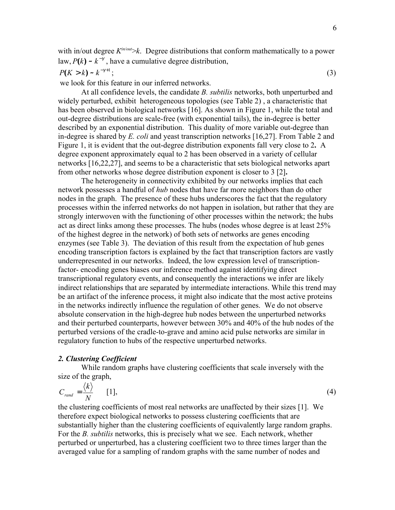with in/out degree  $K^{in/out} > k$ . Degree distributions that conform mathematically to a power law,  $P(k) \sim k^{-\gamma}$ , have a cumulative degree distribution,

$$
P(K > k) \sim k^{-\gamma + 1};\tag{3}
$$

we look for this feature in our inferred networks.

At all confidence levels, the candidate *B. subtilis* networks, both unperturbed and widely perturbed, exhibit heterogeneous topologies (see Table 2) , a characteristic that has been observed in biological networks [16]. As shown in Figure 1, while the total and out-degree distributions are scale-free (with exponential tails), the in-degree is better described by an exponential distribution. This duality of more variable out-degree than in-degree is shared by *E. coli* and yeast transcription networks [16,27]. From Table 2 and Figure 1, it is evident that the out-degree distribution exponents fall very close to 2**.** A degree exponent approximately equal to 2 has been observed in a variety of cellular networks [16,22,27], and seems to be a characteristic that sets biological networks apart from other networks whose degree distribution exponent is closer to 3 [2]**.**

The heterogeneity in connectivity exhibited by our networks implies that each network possesses a handful of *hub* nodes that have far more neighbors than do other nodes in the graph. The presence of these hubs underscores the fact that the regulatory processes within the inferred networks do not happen in isolation, but rather that they are strongly interwoven with the functioning of other processes within the network; the hubs act as direct links among these processes. The hubs (nodes whose degree is at least 25% of the highest degree in the network) of both sets of networks are genes encoding enzymes (see Table 3). The deviation of this result from the expectation of hub genes encoding transcription factors is explained by the fact that transcription factors are vastly underrepresented in our networks. Indeed, the low expression level of transcriptionfactor- encoding genes biases our inference method against identifying direct transcriptional regulatory events, and consequently the interactions we infer are likely indirect relationships that are separated by intermediate interactions. While this trend may be an artifact of the inference process, it might also indicate that the most active proteins in the networks indirectly influence the regulation of other genes. We do not observe absolute conservation in the high-degree hub nodes between the unperturbed networks and their perturbed counterparts, however between 30% and 40% of the hub nodes of the perturbed versions of the cradle-to-grave and amino acid pulse networks are similar in regulatory function to hubs of the respective unperturbed networks.

#### *2. Clustering Coefficient*

While random graphs have clustering coefficients that scale inversely with the size of the graph,

$$
C_{\text{rand}} = \frac{\langle k \rangle}{N} \qquad [1], \tag{4}
$$

the clustering coefficients of most real networks are unaffected by their sizes [1]. We therefore expect biological networks to possess clustering coefficients that are substantially higher than the clustering coefficients of equivalently large random graphs. For the *B. subtilis* networks, this is precisely what we see. Each network, whether perturbed or unperturbed, has a clustering coefficient two to three times larger than the averaged value for a sampling of random graphs with the same number of nodes and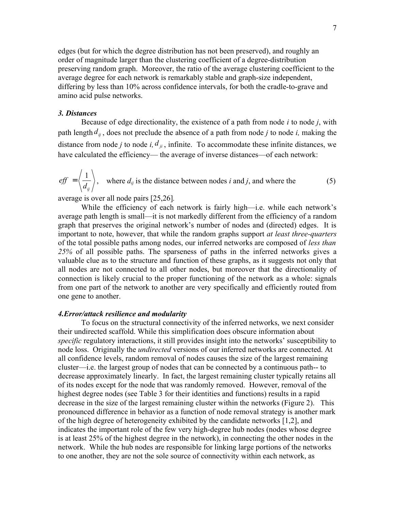edges (but for which the degree distribution has not been preserved), and roughly an order of magnitude larger than the clustering coefficient of a degree-distribution preserving random graph. Moreover, the ratio of the average clustering coefficient to the average degree for each network is remarkably stable and graph-size independent, differing by less than 10% across confidence intervals, for both the cradle-to-grave and amino acid pulse networks.

#### *3. Distances*

Because of edge directionality, the existence of a path from node *i* to node *j*, with path length  $d_{ij}$ , does not preclude the absence of a path from node *j* to node *i*, making the distance from node *j* to node *i*,  $d_{ji}$ , infinite. To accommodate these infinite distances, we have calculated the efficiency— the average of inverse distances—of each network:

*dij*  $\mathit{eff} = \left\langle \frac{1}{1} \right\rangle$ , where  $d_{ij}$  is the distance between nodes *i* and *j*, and where the (5)

average is over all node pairs [25,26]*.*

While the efficiency of each network is fairly high—i.e. while each network's average path length is small—it is not markedly different from the efficiency of a random graph that preserves the original network's number of nodes and (directed) edges. It is important to note, however, that while the random graphs support *at least three-quarters* of the total possible paths among nodes, our inferred networks are composed of *less than 25%* of all possible paths. The sparseness of paths in the inferred networks gives a valuable clue as to the structure and function of these graphs, as it suggests not only that all nodes are not connected to all other nodes, but moreover that the directionality of connection is likely crucial to the proper functioning of the network as a whole: signals from one part of the network to another are very specifically and efficiently routed from one gene to another.

#### *4.Error/attack resilience and modularity*

To focus on the structural connectivity of the inferred networks, we next consider their undirected scaffold. While this simplification does obscure information about *specific* regulatory interactions, it still provides insight into the networks' susceptibility to node loss. Originally the *undirected* versions of our inferred networks are connected. At all confidence levels, random removal of nodes causes the size of the largest remaining cluster—i.e. the largest group of nodes that can be connected by a continuous path-- to decrease approximately linearly. In fact, the largest remaining cluster typically retains all of its nodes except for the node that was randomly removed. However, removal of the highest degree nodes (see Table 3 for their identities and functions) results in a rapid decrease in the size of the largest remaining cluster within the networks (Figure 2). This pronounced difference in behavior as a function of node removal strategy is another mark of the high degree of heterogeneity exhibited by the candidate networks [1,2], and indicates the important role of the few very high-degree hub nodes (nodes whose degree is at least 25% of the highest degree in the network), in connecting the other nodes in the network. While the hub nodes are responsible for linking large portions of the networks to one another, they are not the sole source of connectivity within each network, as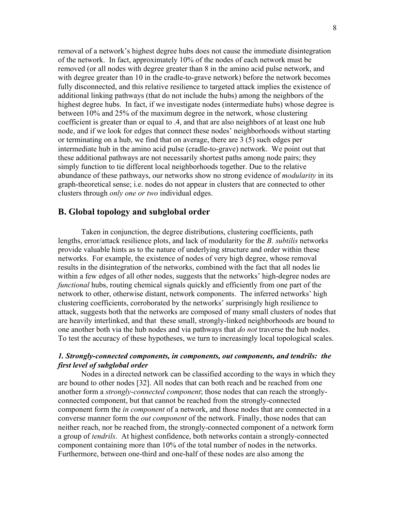removal of a network's highest degree hubs does not cause the immediate disintegration of the network. In fact, approximately 10% of the nodes of each network must be removed (or all nodes with degree greater than 8 in the amino acid pulse network, and with degree greater than 10 in the cradle-to-grave network) before the network becomes fully disconnected, and this relative resilience to targeted attack implies the existence of additional linking pathways (that do not include the hubs) among the neighbors of the highest degree hubs. In fact, if we investigate nodes (intermediate hubs) whose degree is between 10% and 25% of the maximum degree in the network, whose clustering coefficient is greater than or equal to .4, and that are also neighbors of at least one hub node, and if we look for edges that connect these nodes' neighborhoods without starting or terminating on a hub, we find that on average, there are 3 (5) such edges per intermediate hub in the amino acid pulse (cradle-to-grave) network. We point out that these additional pathways are not necessarily shortest paths among node pairs; they simply function to tie different local neighborhoods together. Due to the relative abundance of these pathways, our networks show no strong evidence of *modularity* in its graph-theoretical sense; i.e. nodes do not appear in clusters that are connected to other clusters through *only one or two* individual edges.

## **B. Global topology and subglobal order**

Taken in conjunction, the degree distributions, clustering coefficients, path lengths, error/attack resilience plots, and lack of modularity for the *B. subtilis* networks provide valuable hints as to the nature of underlying structure and order within these networks. For example, the existence of nodes of very high degree, whose removal results in the disintegration of the networks, combined with the fact that all nodes lie within a few edges of all other nodes, suggests that the networks' high-degree nodes are *functional* hubs, routing chemical signals quickly and efficiently from one part of the network to other, otherwise distant, network components. The inferred networks' high clustering coefficients, corroborated by the networks' surprisingly high resilience to attack, suggests both that the networks are composed of many small clusters of nodes that are heavily interlinked, and that these small, strongly-linked neighborhoods are bound to one another both via the hub nodes and via pathways that *do not* traverse the hub nodes. To test the accuracy of these hypotheses, we turn to increasingly local topological scales.

#### *1. Strongly-connected components, in components, out components, and tendrils: the first level of subglobal order*

Nodes in a directed network can be classified according to the ways in which they are bound to other nodes [32]. All nodes that can both reach and be reached from one another form a *strongly-connected component*; those nodes that can reach the stronglyconnected component, but that cannot be reached from the strongly-connected component form the *in component* of a network, and those nodes that are connected in a converse manner form the *out component* of the network. Finally, those nodes that can neither reach, nor be reached from, the strongly-connected component of a network form a group of *tendrils*. At highest confidence, both networks contain a strongly-connected component containing more than 10% of the total number of nodes in the networks. Furthermore, between one-third and one-half of these nodes are also among the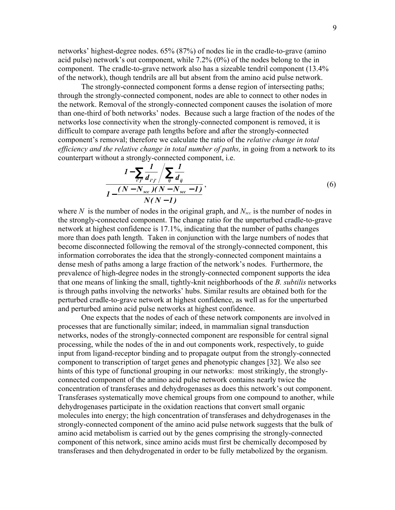networks' highest-degree nodes. 65% (87%) of nodes lie in the cradle-to-grave (amino acid pulse) network's out component, while 7.2% (0%) of the nodes belong to the in component. The cradle-to-grave network also has a sizeable tendril component (13.4% of the network), though tendrils are all but absent from the amino acid pulse network.

The strongly-connected component forms a dense region of intersecting paths; through the strongly-connected component, nodes are able to connect to other nodes in the network. Removal of the strongly-connected component causes the isolation of more than one-third of both networks' nodes. Because such a large fraction of the nodes of the networks lose connectivity when the strongly-connected component is removed, it is difficult to compare average path lengths before and after the strongly-connected component's removal; therefore we calculate the ratio of the *relative change in total efficiency and the relative change in total number of paths,* in going from a network to its counterpart without a strongly-connected component, i.e.

$$
\frac{1 - \sum_{i'j'} \frac{1}{d_{i'j'}} \left/ \sum_{ij} \frac{1}{d_{ij}} \right.}{1 - \frac{(N - N_{\text{sec}})(N - N_{\text{sec}} - 1)}{N(N - 1)}},\tag{6}
$$

where  $N$  is the number of nodes in the original graph, and  $N_{\text{sec}}$  is the number of nodes in the strongly-connected component. The change ratio for the unperturbed cradle-to-grave network at highest confidence is 17.1%, indicating that the number of paths changes more than does path length. Taken in conjunction with the large numbers of nodes that become disconnected following the removal of the strongly-connected component, this information corroborates the idea that the strongly-connected component maintains a dense mesh of paths among a large fraction of the network's nodes. Furthermore, the prevalence of high-degree nodes in the strongly-connected component supports the idea that one means of linking the small, tightly-knit neighborhoods of the *B. subtilis* networks is through paths involving the networks' hubs. Similar results are obtained both for the perturbed cradle-to-grave network at highest confidence, as well as for the unperturbed and perturbed amino acid pulse networks at highest confidence.

One expects that the nodes of each of these network components are involved in processes that are functionally similar; indeed, in mammalian signal transduction networks, nodes of the strongly-connected component are responsible for central signal processing, while the nodes of the in and out components work, respectively, to guide input from ligand-receptor binding and to propagate output from the strongly-connected component to transcription of target genes and phenotypic changes [32]. We also see hints of this type of functional grouping in our networks: most strikingly, the stronglyconnected component of the amino acid pulse network contains nearly twice the concentration of transferases and dehydrogenases as does this network's out component. Transferases systematically move chemical groups from one compound to another, while dehydrogenases participate in the oxidation reactions that convert small organic molecules into energy; the high concentration of transferases and dehydrogenases in the strongly-connected component of the amino acid pulse network suggests that the bulk of amino acid metabolism is carried out by the genes comprising the strongly-connected component of this network, since amino acids must first be chemically decomposed by transferases and then dehydrogenated in order to be fully metabolized by the organism.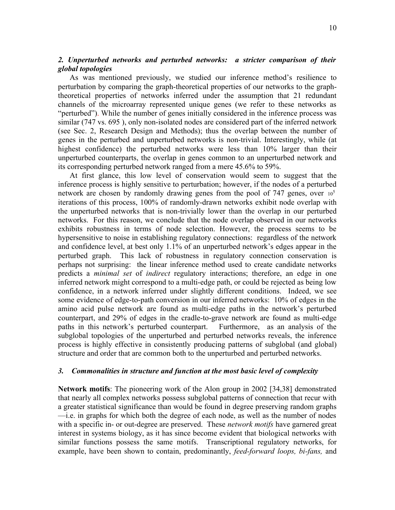# *2. Unperturbed networks and perturbed networks: a stricter comparison of their global topologies*

As was mentioned previously, we studied our inference method's resilience to perturbation by comparing the graph-theoretical properties of our networks to the graphtheoretical properties of networks inferred under the assumption that 21 redundant channels of the microarray represented unique genes (we refer to these networks as "perturbed"). While the number of genes initially considered in the inference process was similar (747 vs. 695 ), only non-isolated nodes are considered part of the inferred network (see Sec. 2, Research Design and Methods); thus the overlap between the number of genes in the perturbed and unperturbed networks is non-trivial. Interestingly, while (at highest confidence) the perturbed networks were less than 10% larger than their unperturbed counterparts, the overlap in genes common to an unperturbed network and its corresponding perturbed network ranged from a mere 45.6% to 59%.

At first glance, this low level of conservation would seem to suggest that the inference process is highly sensitive to perturbation; however, if the nodes of a perturbed network are chosen by randomly drawing genes from the pool of 747 genes, over 10<sup>5</sup> iterations of this process, 100% of randomly-drawn networks exhibit node overlap with the unperturbed networks that is non-trivially lower than the overlap in our perturbed networks. For this reason, we conclude that the node overlap observed in our networks exhibits robustness in terms of node selection. However, the process seems to be hypersensitive to noise in establishing regulatory connections: regardless of the network and confidence level, at best only 1.1% of an unperturbed network's edges appear in the perturbed graph. This lack of robustness in regulatory connection conservation is perhaps not surprising: the linear inference method used to create candidate networks predicts a *minimal set* of *indirect* regulatory interactions; therefore, an edge in one inferred network might correspond to a multi-edge path, or could be rejected as being low confidence, in a network inferred under slightly different conditions. Indeed, we see some evidence of edge-to-path conversion in our inferred networks: 10% of edges in the amino acid pulse network are found as multi-edge paths in the network's perturbed counterpart, and 29% of edges in the cradle-to-grave network are found as multi-edge paths in this network's perturbed counterpart. Furthermore, as an analysis of the subglobal topologies of the unperturbed and perturbed networks reveals, the inference process is highly effective in consistently producing patterns of subglobal (and global) structure and order that are common both to the unperturbed and perturbed networks.

#### *3. Commonalities in structure and function at the most basic level of complexity*

**Network motifs**: The pioneering work of the Alon group in 2002 [34,38] demonstrated that nearly all complex networks possess subglobal patterns of connection that recur with a greater statistical significance than would be found in degree preserving random graphs —i.e. in graphs for which both the degree of each node, as well as the number of nodes with a specific in- or out-degree are preserved. These *network motifs* have garnered great interest in systems biology, as it has since become evident that biological networks with similar functions possess the same motifs. Transcriptional regulatory networks, for example, have been shown to contain, predominantly, *feed-forward loops, bi-fans,* and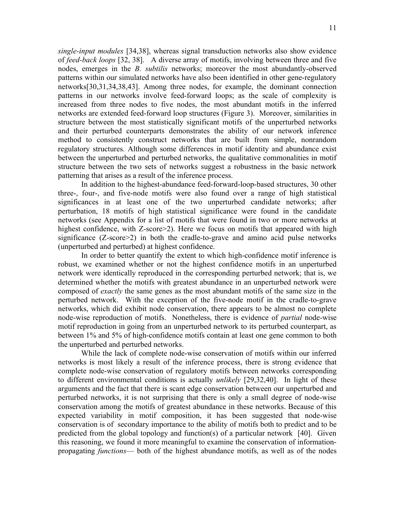*single-input modules* [34,38], whereas signal transduction networks also show evidence of *feed-back loops* [32, 38]. A diverse array of motifs, involving between three and five nodes, emerges in the *B. subtilis* networks; moreover the most abundantly-observed patterns within our simulated networks have also been identified in other gene-regulatory networks[30,31,34,38,43]. Among three nodes, for example, the dominant connection patterns in our networks involve feed-forward loops; as the scale of complexity is increased from three nodes to five nodes, the most abundant motifs in the inferred networks are extended feed-forward loop structures (Figure 3). Moreover, similarities in structure between the most statistically significant motifs of the unperturbed networks and their perturbed counterparts demonstrates the ability of our network inference method to consistently construct networks that are built from simple, nonrandom regulatory structures. Although some differences in motif identity and abundance exist between the unperturbed and perturbed networks, the qualitative commonalities in motif structure between the two sets of networks suggest a robustness in the basic network patterning that arises as a result of the inference process.

In addition to the highest-abundance feed-forward-loop-based structures, 30 other three-, four-, and five-node motifs were also found over a range of high statistical significances in at least one of the two unperturbed candidate networks; after perturbation, 18 motifs of high statistical significance were found in the candidate networks (see Appendix for a list of motifs that were found in two or more networks at highest confidence, with Z-score  $\geq$ . Here we focus on motifs that appeared with high significance (Z-score>2) in both the cradle-to-grave and amino acid pulse networks (unperturbed and perturbed) at highest confidence.

In order to better quantify the extent to which high-confidence motif inference is robust, we examined whether or not the highest confidence motifs in an unperturbed network were identically reproduced in the corresponding perturbed network; that is, we determined whether the motifs with greatest abundance in an unperturbed network were composed of *exactly* the same genes as the most abundant motifs of the same size in the perturbed network. With the exception of the five-node motif in the cradle-to-grave networks, which did exhibit node conservation, there appears to be almost no complete node-wise reproduction of motifs. Nonetheless, there is evidence of *partial* node-wise motif reproduction in going from an unperturbed network to its perturbed counterpart, as between 1% and 5% of high-confidence motifs contain at least one gene common to both the unperturbed and perturbed networks.

While the lack of complete node-wise conservation of motifs within our inferred networks is most likely a result of the inference process, there is strong evidence that complete node-wise conservation of regulatory motifs between networks corresponding to different environmental conditions is actually *unlikely* [29,32,40]. In light of these arguments and the fact that there is scant edge conservation between our unperturbed and perturbed networks, it is not surprising that there is only a small degree of node-wise conservation among the motifs of greatest abundance in these networks. Because of this expected variability in motif composition, it has been suggested that node-wise conservation is of secondary importance to the ability of motifs both to predict and to be predicted from the global topology and function(s) of a particular network [40]. Given this reasoning, we found it more meaningful to examine the conservation of informationpropagating *functions*— both of the highest abundance motifs, as well as of the nodes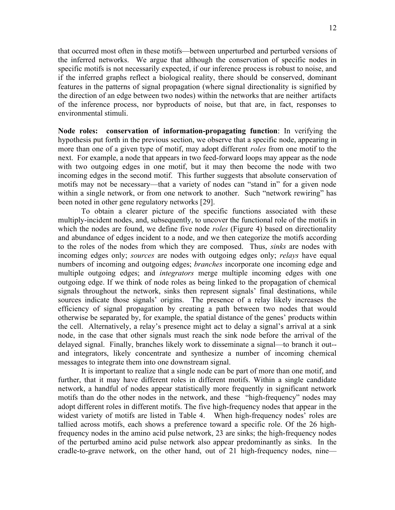that occurred most often in these motifs—between unperturbed and perturbed versions of the inferred networks. We argue that although the conservation of specific nodes in specific motifs is not necessarily expected, if our inference process is robust to noise, and if the inferred graphs reflect a biological reality, there should be conserved, dominant features in the patterns of signal propagation (where signal directionality is signified by the direction of an edge between two nodes) within the networks that are neither artifacts of the inference process, nor byproducts of noise, but that are, in fact, responses to environmental stimuli.

**Node roles: conservation of information-propagating function**: In verifying the hypothesis put forth in the previous section, we observe that a specific node, appearing in more than one of a given type of motif, may adopt different *roles* from one motif to the next. For example, a node that appears in two feed-forward loops may appear as the node with two outgoing edges in one motif, but it may then become the node with two incoming edges in the second motif. This further suggests that absolute conservation of motifs may not be necessary—that a variety of nodes can "stand in" for a given node within a single network, or from one network to another. Such "network rewiring" has been noted in other gene regulatory networks [29].

To obtain a clearer picture of the specific functions associated with these multiply-incident nodes, and, subsequently, to uncover the functional role of the motifs in which the nodes are found, we define five node *roles* (Figure 4) based on directionality and abundance of edges incident to a node, and we then categorize the motifs according to the roles of the nodes from which they are composed. Thus, *sinks* are nodes with incoming edges only; *sources* are nodes with outgoing edges only; *relays* have equal numbers of incoming and outgoing edges; *branches* incorporate one incoming edge and multiple outgoing edges; and *integrators* merge multiple incoming edges with one outgoing edge. If we think of node roles as being linked to the propagation of chemical signals throughout the network, sinks then represent signals' final destinations, while sources indicate those signals' origins. The presence of a relay likely increases the efficiency of signal propagation by creating a path between two nodes that would otherwise be separated by, for example, the spatial distance of the genes' products within the cell. Alternatively, a relay's presence might act to delay a signal's arrival at a sink node, in the case that other signals must reach the sink node before the arrival of the delayed signal. Finally, branches likely work to disseminate a signal—to branch it out- and integrators, likely concentrate and synthesize a number of incoming chemical messages to integrate them into one downstream signal.

It is important to realize that a single node can be part of more than one motif, and further, that it may have different roles in different motifs. Within a single candidate network, a handful of nodes appear statistically more frequently in significant network motifs than do the other nodes in the network, and these "high-frequency" nodes may adopt different roles in different motifs. The five high-frequency nodes that appear in the widest variety of motifs are listed in Table 4. When high-frequency nodes' roles are tallied across motifs, each shows a preference toward a specific role. Of the 26 highfrequency nodes in the amino acid pulse network, 23 are sinks; the high-frequency nodes of the perturbed amino acid pulse network also appear predominantly as sinks. In the cradle-to-grave network, on the other hand, out of 21 high-frequency nodes, nine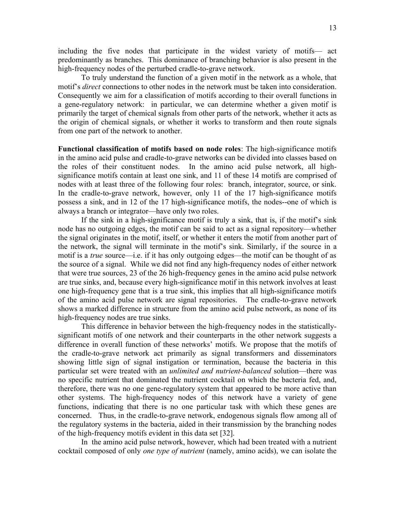including the five nodes that participate in the widest variety of motifs— act predominantly as branches. This dominance of branching behavior is also present in the high-frequency nodes of the perturbed cradle-to-grave network.

To truly understand the function of a given motif in the network as a whole, that motif's *direct* connections to other nodes in the network must be taken into consideration. Consequently we aim for a classification of motifs according to their overall functions in a gene-regulatory network: in particular, we can determine whether a given motif is primarily the target of chemical signals from other parts of the network, whether it acts as the origin of chemical signals, or whether it works to transform and then route signals from one part of the network to another.

**Functional classification of motifs based on node roles**: The high-significance motifs in the amino acid pulse and cradle-to-grave networks can be divided into classes based on the roles of their constituent nodes. In the amino acid pulse network, all highsignificance motifs contain at least one sink, and 11 of these 14 motifs are comprised of nodes with at least three of the following four roles: branch, integrator, source, or sink. In the cradle-to-grave network, however, only 11 of the 17 high-significance motifs possess a sink, and in 12 of the 17 high-significance motifs, the nodes--one of which is always a branch or integrator—have only two roles.

If the sink in a high-significance motif is truly a sink, that is, if the motif's sink node has no outgoing edges, the motif can be said to act as a signal repository—whether the signal originates in the motif, itself, or whether it enters the motif from another part of the network, the signal will terminate in the motif's sink. Similarly, if the source in a motif is a *true* source—i.e. if it has only outgoing edges—the motif can be thought of as the source of a signal. While we did not find any high-frequency nodes of either network that were true sources, 23 of the 26 high-frequency genes in the amino acid pulse network are true sinks, and, because every high-significance motif in this network involves at least one high-frequency gene that is a true sink, this implies that all high-significance motifs of the amino acid pulse network are signal repositories. The cradle-to-grave network shows a marked difference in structure from the amino acid pulse network, as none of its high-frequency nodes are true sinks.

This difference in behavior between the high-frequency nodes in the statisticallysignificant motifs of one network and their counterparts in the other network suggests a difference in overall function of these networks' motifs. We propose that the motifs of the cradle-to-grave network act primarily as signal transformers and disseminators showing little sign of signal instigation or termination, because the bacteria in this particular set were treated with an *unlimited and nutrient-balanced* solution—there was no specific nutrient that dominated the nutrient cocktail on which the bacteria fed, and, therefore, there was no one gene-regulatory system that appeared to be more active than other systems. The high-frequency nodes of this network have a variety of gene functions, indicating that there is no one particular task with which these genes are concerned. Thus, in the cradle-to-grave network, endogenous signals flow among all of the regulatory systems in the bacteria, aided in their transmission by the branching nodes of the high-frequency motifs evident in this data set [32].

In the amino acid pulse network, however, which had been treated with a nutrient cocktail composed of only *one type of nutrient* (namely, amino acids), we can isolate the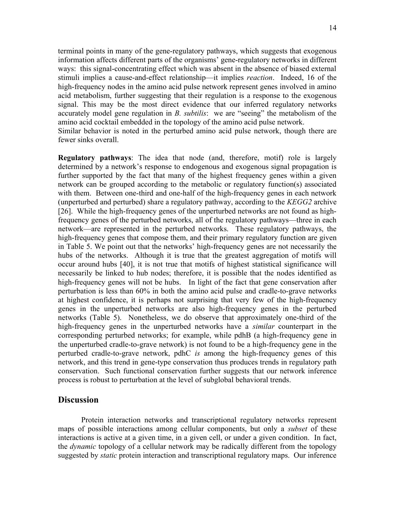terminal points in many of the gene-regulatory pathways, which suggests that exogenous information affects different parts of the organisms' gene-regulatory networks in different ways: this signal-concentrating effect which was absent in the absence of biased external stimuli implies a cause-and-effect relationship—it implies *reaction*. Indeed, 16 of the high-frequency nodes in the amino acid pulse network represent genes involved in amino acid metabolism, further suggesting that their regulation is a response to the exogenous signal. This may be the most direct evidence that our inferred regulatory networks accurately model gene regulation in *B. subtilis*: we are "seeing" the metabolism of the amino acid cocktail embedded in the topology of the amino acid pulse network.

Similar behavior is noted in the perturbed amino acid pulse network, though there are fewer sinks overall.

**Regulatory pathways**: The idea that node (and, therefore, motif) role is largely determined by a network's response to endogenous and exogenous signal propagation is further supported by the fact that many of the highest frequency genes within a given network can be grouped according to the metabolic or regulatory function(s) associated with them. Between one-third and one-half of the high-frequency genes in each network (unperturbed and perturbed) share a regulatory pathway, according to the *KEGG2* archive [26]. While the high-frequency genes of the unperturbed networks are not found as highfrequency genes of the perturbed networks, all of the regulatory pathways—three in each network—are represented in the perturbed networks. These regulatory pathways, the high-frequency genes that compose them, and their primary regulatory function are given in Table 5. We point out that the networks' high-frequency genes are not necessarily the hubs of the networks. Although it is true that the greatest aggregation of motifs will occur around hubs [40], it is not true that motifs of highest statistical significance will necessarily be linked to hub nodes; therefore, it is possible that the nodes identified as high-frequency genes will not be hubs. In light of the fact that gene conservation after perturbation is less than 60% in both the amino acid pulse and cradle-to-grave networks at highest confidence, it is perhaps not surprising that very few of the high-frequency genes in the unperturbed networks are also high-frequency genes in the perturbed networks (Table 5). Nonetheless, we do observe that approximately one-third of the high-frequency genes in the unperturbed networks have a *similar* counterpart in the corresponding perturbed networks; for example, while pdhB (a high-frequency gene in the unperturbed cradle-to-grave network) is not found to be a high-frequency gene in the perturbed cradle-to-grave network, pdhC *is* among the high-frequency genes of this network, and this trend in gene-type conservation thus produces trends in regulatory path conservation. Such functional conservation further suggests that our network inference process is robust to perturbation at the level of subglobal behavioral trends.

#### **Discussion**

Protein interaction networks and transcriptional regulatory networks represent maps of possible interactions among cellular components, but only a *subset* of these interactions is active at a given time, in a given cell, or under a given condition. In fact, the *dynamic* topology of a cellular network may be radically different from the topology suggested by *static* protein interaction and transcriptional regulatory maps. Our inference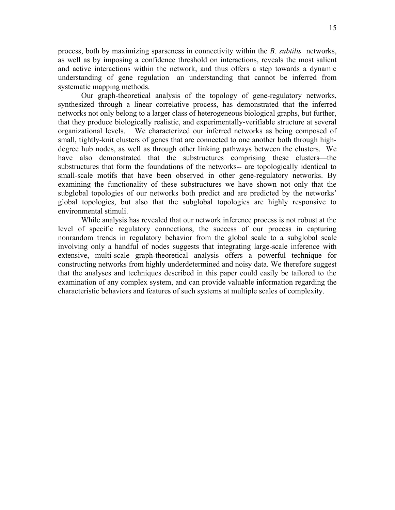process, both by maximizing sparseness in connectivity within the *B. subtilis* networks, as well as by imposing a confidence threshold on interactions, reveals the most salient and active interactions within the network, and thus offers a step towards a dynamic understanding of gene regulation—an understanding that cannot be inferred from systematic mapping methods.

Our graph-theoretical analysis of the topology of gene-regulatory networks, synthesized through a linear correlative process, has demonstrated that the inferred networks not only belong to a larger class of heterogeneous biological graphs, but further, that they produce biologically realistic, and experimentally-verifiable structure at several organizational levels. We characterized our inferred networks as being composed of small, tightly-knit clusters of genes that are connected to one another both through highdegree hub nodes, as well as through other linking pathways between the clusters. We have also demonstrated that the substructures comprising these clusters—the substructures that form the foundations of the networks-- are topologically identical to small-scale motifs that have been observed in other gene-regulatory networks. By examining the functionality of these substructures we have shown not only that the subglobal topologies of our networks both predict and are predicted by the networks' global topologies, but also that the subglobal topologies are highly responsive to environmental stimuli.

While analysis has revealed that our network inference process is not robust at the level of specific regulatory connections, the success of our process in capturing nonrandom trends in regulatory behavior from the global scale to a subglobal scale involving only a handful of nodes suggests that integrating large-scale inference with extensive, multi-scale graph-theoretical analysis offers a powerful technique for constructing networks from highly underdetermined and noisy data. We therefore suggest that the analyses and techniques described in this paper could easily be tailored to the examination of any complex system, and can provide valuable information regarding the characteristic behaviors and features of such systems at multiple scales of complexity.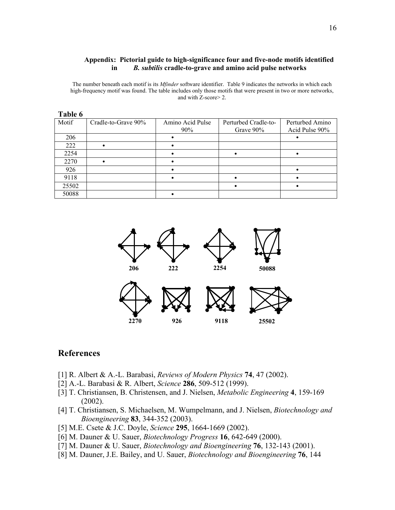#### **Appendix: Pictorial guide to high-significance four and five-node motifs identified in** *B. subtilis* **cradle-to-grave and amino acid pulse networks**

The number beneath each motif is its *Mfinder* software identifier. Table 9 indicates the networks in which each high-frequency motif was found. The table includes only those motifs that were present in two or more networks, and with Z-score> 2.

| Motif | Cradle-to-Grave 90% | Amino Acid Pulse | Perturbed Cradle-to- | Perturbed Amino |
|-------|---------------------|------------------|----------------------|-----------------|
|       |                     | 90%              | Grave 90%            | Acid Pulse 90%  |
| 206   |                     |                  |                      |                 |
| 222   |                     |                  |                      |                 |
| 2254  |                     |                  |                      |                 |
| 2270  |                     |                  |                      |                 |
| 926   |                     |                  |                      |                 |
| 9118  |                     |                  |                      |                 |
| 25502 |                     |                  |                      |                 |
| 50088 |                     |                  |                      |                 |





# **References**

- [1] R. Albert & A.-L. Barabasi, *Reviews of Modern Physics* **74**, 47 (2002).
- [2] A.-L. Barabasi & R. Albert, *Science* **286**, 509-512 (1999).
- [3] T. Christiansen, B. Christensen, and J. Nielsen, *Metabolic Engineering* **4**, 159-169 (2002).
- [4] T. Christiansen, S. Michaelsen, M. Wumpelmann, and J. Nielsen, *Biotechnology and Bioengineering* **83**, 344-352 (2003).
- [5] M.E. Csete & J.C. Doyle, *Science* **295**, 1664-1669 (2002).
- [6] M. Dauner & U. Sauer, *Biotechnology Progress* **16**, 642-649 (2000).
- [7] M. Dauner & U. Sauer, *Biotechnology and Bioengineering* **76**, 132-143 (2001).
- [8] M. Dauner, J.E. Bailey, and U. Sauer, *Biotechnology and Bioengineering* **76**, 144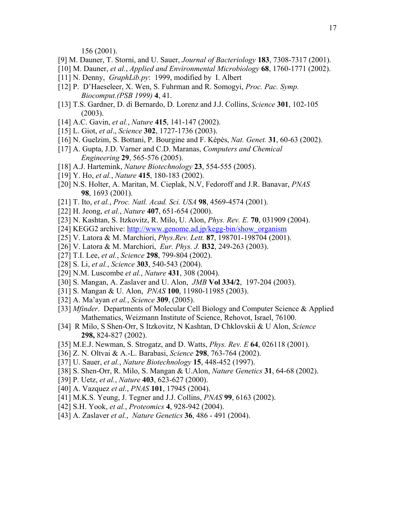156 (2001).

- [9] M. Dauner, T. Storni, and U. Sauer, *Journal of Bacteriology* **183**, 7308-7317 (2001).
- [10] M. Dauner, *et al.*, *Applied and Environmental Microbiology* **68**, 1760-1771 (2002).
- [11] N. Denny, *GraphLib.py*: 1999, modified by I. Albert
- [12] P. D'Haeseleer, X. Wen, S. Fuhrman and R. Somogyi, *Proc. Pac. Symp. Biocomput.(PSB 1999)* **4**, 41.
- [13] T.S. Gardner, D. di Bernardo, D. Lorenz and J.J. Collins, *Science* **301**, 102-105 (2003).
- [14] A.C. Gavin, *et al.*, *Nature* **415**, 141-147 (2002).
- [15] L. Giot, *et al*., *Science* **302**, 1727-1736 (2003).
- [16] N. Guelzim, S. Bottani, P. Bourgine and F. Képès, *Nat. Genet.* **31**, 60-63 (2002).
- [17] A. Gupta, J.D. Varner and C.D. Maranas, *Computers and Chemical Engineering* **29**, 565-576 (2005).
- [18] A.J. Hartemink, *Nature Biotechnology* **23**, 554-555 (2005).
- [19] Y. Ho, *et al.*, *Nature* **415**, 180-183 (2002).
- [20] N.S. Holter, A. Maritan, M. Cieplak, N.V, Fedoroff and J.R. Banavar, *PNAS* **98**, 1693 (2001).
- [21] T. Ito, *et al.*, *Proc. Natl. Acad. Sci. USA* **98**, 4569-4574 (2001).
- [22] H. Jeong, *et al.*, *Nature* **407**, 651-654 (2000).
- [23] N. Kashtan, S. Itzkovitz, R. Milo, U. Alon, *Phys. Rev. E.* **70**, 031909 (2004).
- [24] KEGG2 archive: [http://www.genome.ad.jp/kegg-bin/show\\_organism](http://www.genome.ad.jp/kegg-bin/show_organism)
- [25] V. Latora & M. Marchiori, *Phys.Rev. Lett.* **87**, 198701-198704 (2001).
- [26] V. Latora & M. Marchiori, *Eur. Phys. J.* **B32**, 249-263 (2003).
- [27] T.I. Lee, *et al.*, *Science* **298**, 799-804 (2002).
- [28] S. Li, *et al.*, *Science* **303**, 540-543 (2004).
- [29] N.M. Luscombe *et al.*, *Nature* **431**, 308 (2004).
- [30] S. Mangan, A. Zaslaver and U. Alon, *JMB* **Vol 334/2**, 197-204 (2003).
- [31] S. Mangan & U. Alon, *PNAS* **100**, 11980-11985 (2003).
- [32] A. Ma'ayan *et al.*, *Science* **309**, (2005).
- [33] *Mfinder*. Departments of Molecular Cell Biology and Computer Science & Applied Mathematics, Weizmann Institute of Science, Rehovot, Israel, 76100.
- [34] R Milo, S Shen-Orr, S Itzkovitz, N Kashtan, D Chklovskii & U Alon, *Science* **298,** 824-827 (2002).
- [35] M.E.J. Newman, S. Strogatz, and D. Watts, *Phys. Rev. E* **64**, 026118 (2001).
- [36] Z. N. Oltvai & A.-L. Barabasi, *Science* **298**, 763-764 (2002).
- [37] U. Sauer, *et al.*, *Nature Biotechnology* **15**, 448-452 (1997).
- [38] S. Shen-Orr, R. Milo, S. Mangan & U.Alon, *Nature Genetics* **31**, 64-68 (2002).
- [39] P. Uetz, *et al.*, *Nature* **403**, 623-627 (2000).
- [40] A. Vazquez *et al.*, *PNAS* **101**, 17945 (2004).
- [41] M.K.S. Yeung, J. Tegner and J.J. Collins, *PNAS* **99**, 6163 (2002).
- [42] S.H. Yook, *et al.*, *Proteomics* **4**, 928-942 (2004).
- [43] A. Zaslaver *et al.*, *Nature Genetics* **36**, 486 491 (2004).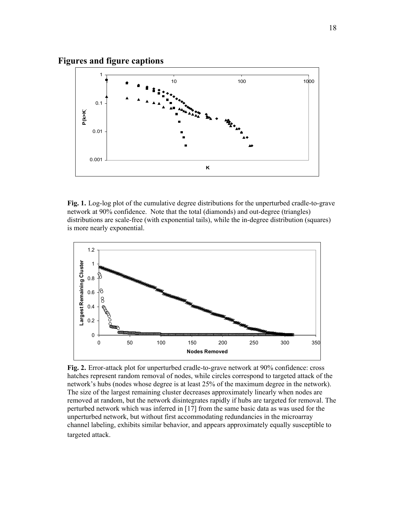



**Fig. 1.** Log-log plot of the cumulative degree distributions for the unperturbed cradle-to-grave network at 90% confidence. Note that the total (diamonds) and out-degree (triangles) distributions are scale-free (with exponential tails), while the in-degree distribution (squares) is more nearly exponential.



**Fig. 2.** Error-attack plot for unperturbed cradle-to-grave network at 90% confidence: cross hatches represent random removal of nodes, while circles correspond to targeted attack of the network's hubs (nodes whose degree is at least 25% of the maximum degree in the network). The size of the largest remaining cluster decreases approximately linearly when nodes are removed at random, but the network disintegrates rapidly if hubs are targeted for removal. The perturbed network which was inferred in [17] from the same basic data as was used for the unperturbed network, but without first accommodating redundancies in the microarray channel labeling, exhibits similar behavior, and appears approximately equally susceptible to targeted attack.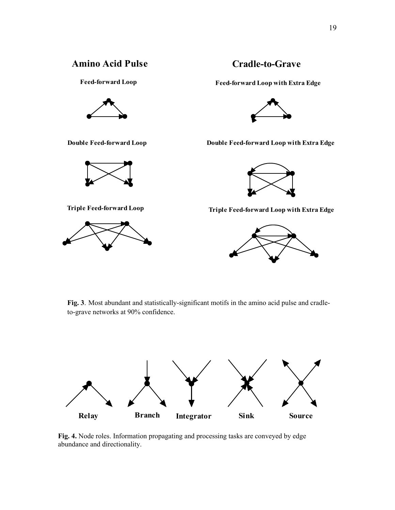





**Feed-forward Loop Feed-forward Loop with Extra Edge**



**Double Feed-forward Loop Double Feed-forward Loop with Extra Edge**



**Triple Feed-forward Loop Triple Feed-forward Loop with Extra Edge**



**Fig. 3**. Most abundant and statistically-significant motifs in the amino acid pulse and cradleto-grave networks at 90% confidence.



**Fig. 4.** Node roles. Information propagating and processing tasks are conveyed by edge abundance and directionality.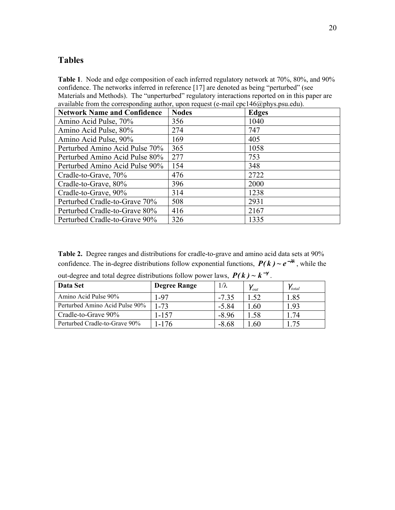# **Tables**

**Table 1**. Node and edge composition of each inferred regulatory network at 70%, 80%, and 90% confidence. The networks inferred in reference [17] are denoted as being "perturbed" (see Materials and Methods). The "unperturbed" regulatory interactions reported on in this paper are available from the corresponding author, upon request (e-mail cpc146 $@p$ hys.psu.edu).

| <b>Network Name and Confidence</b> | <b>Nodes</b> | <b>Edges</b> |
|------------------------------------|--------------|--------------|
| Amino Acid Pulse, 70%              | 356          | 1040         |
| Amino Acid Pulse, 80%              | 274          | 747          |
| Amino Acid Pulse, 90%              | 169          | 405          |
| Perturbed Amino Acid Pulse 70%     | 365          | 1058         |
| Perturbed Amino Acid Pulse 80%     | 277          | 753          |
| Perturbed Amino Acid Pulse 90%     | 154          | 348          |
| Cradle-to-Grave, 70%               | 476          | 2722         |
| Cradle-to-Grave, 80%               | 396          | 2000         |
| Cradle-to-Grave, 90%               | 314          | 1238         |
| Perturbed Cradle-to-Grave 70%      | 508          | 2931         |
| Perturbed Cradle-to-Grave 80%      | 416          | 2167         |
| Perturbed Cradle-to-Grave 90%      | 326          | 1335         |

**Table 2.** Degree ranges and distributions for cradle-to-grave and amino acid data sets at 90% confidence. The in-degree distributions follow exponential functions,  $P(k) \sim e^{-\lambda k}$ , while the

| out-degree and total degree distributions follow power laws, $P(k) \sim k^{-\gamma}$ . |  |  |  |  |
|----------------------------------------------------------------------------------------|--|--|--|--|
|                                                                                        |  |  |  |  |

| Data Set                       | <b>Degree Range</b> | $1/\lambda$ | $\gamma$<br>out | $\int$ total |
|--------------------------------|---------------------|-------------|-----------------|--------------|
| Amino Acid Pulse 90%           | 97-،                | $-735$      | -52             | .85          |
| Perturbed Amino Acid Pulse 90% | $1 - 73$            | -5.84       | -60             | ' 93         |
| Cradle-to-Grave 90%            | 1-157               | -8 96       | .58             | -74          |
| Perturbed Cradle-to-Grave 90%  | $-176$              | $-8.68$     | .60             |              |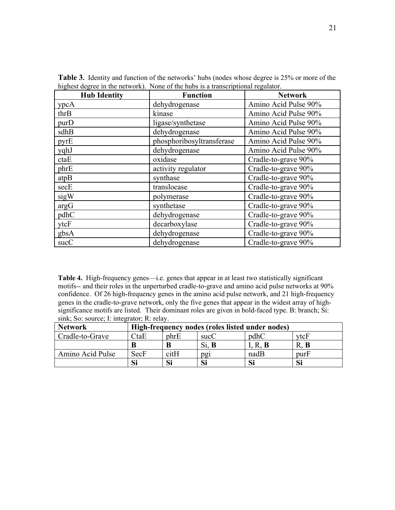| <b>Hub Identity</b> | <b>Function</b>           | <b>Network</b>       |
|---------------------|---------------------------|----------------------|
| ypcA                | dehydrogenase             | Amino Acid Pulse 90% |
| thrB                | kinase                    | Amino Acid Pulse 90% |
| purD                | ligase/synthetase         | Amino Acid Pulse 90% |
| sdhB                | dehydrogenase             | Amino Acid Pulse 90% |
| pyrE                | phosphoribosyltransferase | Amino Acid Pulse 90% |
| yqhJ                | dehydrogenase             | Amino Acid Pulse 90% |
| ctaE                | oxidase                   | Cradle-to-grave 90%  |
| phrE                | activity regulator        | Cradle-to-grave 90%  |
| atpB                | synthase                  | Cradle-to-grave 90%  |
| secE                | translocase               | Cradle-to-grave 90%  |
| sigW                | polymerase                | Cradle-to-grave 90%  |
| argG                | synthetase                | Cradle-to-grave 90%  |
| pdhC                | dehydrogenase             | Cradle-to-grave 90%  |
| ytcF                | decarboxylase             | Cradle-to-grave 90%  |
| gbsA                | dehydrogenase             | Cradle-to-grave 90%  |
| sucC                | dehydrogenase             | Cradle-to-grave 90%  |

**Table 3.** Identity and function of the networks' hubs (nodes whose degree is 25% or more of the highest degree in the network). None of the hubs is a transcriptional regulator.

**Table 4.** High-frequency genes—i.e. genes that appear in at least two statistically significant motifs-- and their roles in the unperturbed cradle-to-grave and amino acid pulse networks at 90% confidence. Of 26 high-frequency genes in the amino acid pulse network, and 21 high-frequency genes in the cradle-to-grave network, only the five genes that appear in the widest array of highsignificance motifs are listed. Their dominant roles are given in bold-faced type. B: branch; Si: sink; So: source; I: integrator; R: relay.

| <b>Network</b>   | High-frequency nodes (roles listed under nodes) |      |                 |      |      |
|------------------|-------------------------------------------------|------|-----------------|------|------|
| Cradle-to-Grave  | $\mathbb{C}$ ta $\mathrm{E}$                    | phrE | sucC            | pdhC | ytcF |
|                  | B                                               |      | Si. B           | R, B | R. B |
| Amino Acid Pulse | SecF                                            | citH | pg <sub>1</sub> | nadB | purF |
|                  | Si                                              |      | Si              | Si   | Si   |